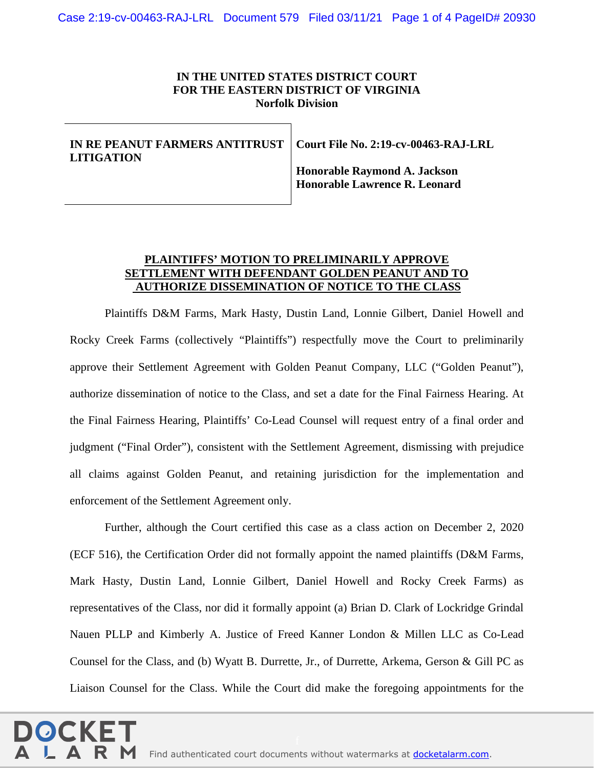## **IN THE UNITED STATES DISTRICT COURT FOR THE EASTERN DISTRICT OF VIRGINIA Norfolk Division**

## **IN RE PEANUT FARMERS ANTITRUST LITIGATION**

**Court File No. 2:19-cv-00463-RAJ-LRL**

**Honorable Raymond A. Jackson Honorable Lawrence R. Leonard**

## **PLAINTIFFS' MOTION TO PRELIMINARILY APPROVE SETTLEMENT WITH DEFENDANT GOLDEN PEANUT AND TO AUTHORIZE DISSEMINATION OF NOTICE TO THE CLASS**

Plaintiffs D&M Farms, Mark Hasty, Dustin Land, Lonnie Gilbert, Daniel Howell and Rocky Creek Farms (collectively "Plaintiffs") respectfully move the Court to preliminarily approve their Settlement Agreement with Golden Peanut Company, LLC ("Golden Peanut"), authorize dissemination of notice to the Class, and set a date for the Final Fairness Hearing. At the Final Fairness Hearing, Plaintiffs' Co-Lead Counsel will request entry of a final order and judgment ("Final Order"), consistent with the Settlement Agreement, dismissing with prejudice all claims against Golden Peanut, and retaining jurisdiction for the implementation and enforcement of the Settlement Agreement only.

Further, although the Court certified this case as a class action on December 2, 2020 (ECF 516), the Certification Order did not formally appoint the named plaintiffs (D&M Farms, Mark Hasty, Dustin Land, Lonnie Gilbert, Daniel Howell and Rocky Creek Farms) as representatives of the Class, nor did it formally appoint (a) Brian D. Clark of Lockridge Grindal Nauen PLLP and Kimberly A. Justice of Freed Kanner London & Millen LLC as Co-Lead Counsel for the Class, and (b) Wyatt B. Durrette, Jr., of Durrette, Arkema, Gerson & Gill PC as Liaison Counsel for the Class. While the Court did make the foregoing appointments for the

Find authenticated [court documents without watermarks](https://www.docketalarm.com/) at **docketalarm.com.**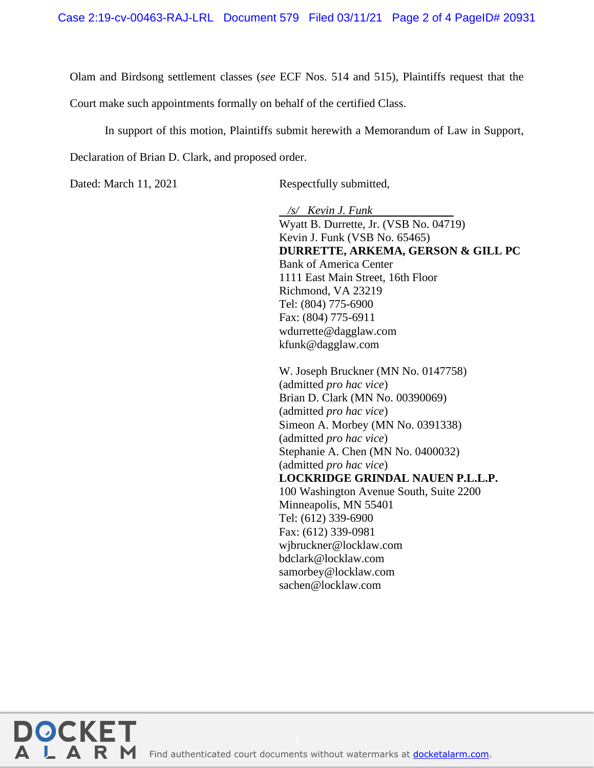Olam and Birdsong settlement classes (*see* ECF Nos. 514 and 515), Plaintiffs request that the

Court make such appointments formally on behalf of the certified Class.

In support of this motion, Plaintiffs submit herewith a Memorandum of Law in Support, Declaration of Brian D. Clark, and proposed order.

**DOCKET** 

Dated: March 11, 2021 Respectfully submitted,

 */s/ Kevin J. Funk* Wyatt B. Durrette, Jr. (VSB No. 04719) Kevin J. Funk (VSB No. 65465) **DURRETTE, ARKEMA, GERSON & GILL PC**  Bank of America Center 1111 East Main Street, 16th Floor Richmond, VA 23219 Tel: (804) 775-6900 Fax: (804) 775-6911 wdurrette@dagglaw.com kfunk@dagglaw.com

W. Joseph Bruckner (MN No. 0147758) (admitted *pro hac vice*) Brian D. Clark (MN No. 00390069) (admitted *pro hac vice*) Simeon A. Morbey (MN No. 0391338) (admitted *pro hac vice*) Stephanie A. Chen (MN No. 0400032) (admitted *pro hac vice*) **LOCKRIDGE GRINDAL NAUEN P.L.L.P.** 100 Washington Avenue South, Suite 2200 Minneapolis, MN 55401 Tel: (612) 339-6900 Fax: (612) 339-0981 wjbruckner@locklaw.com bdclark@locklaw.com samorbey@locklaw.com sachen@locklaw.com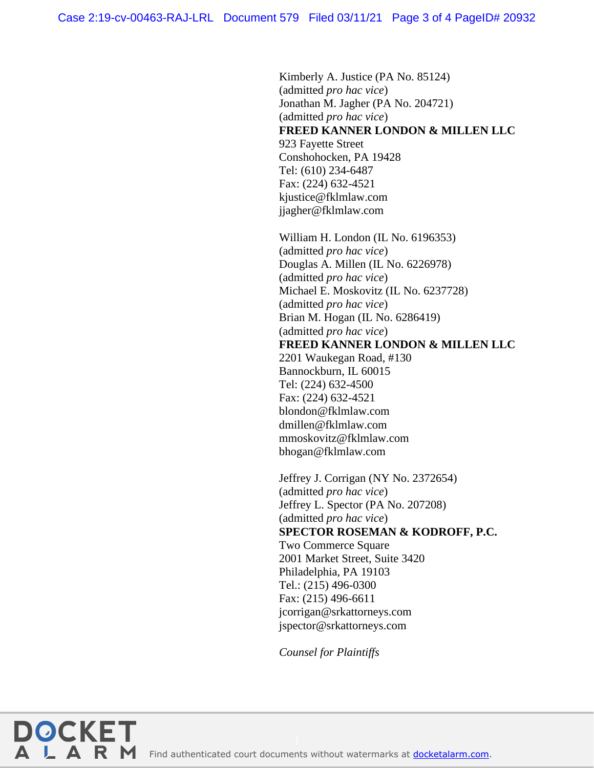Kimberly A. Justice (PA No. 85124) (admitted *pro hac vice*) Jonathan M. Jagher (PA No. 204721) (admitted *pro hac vice*) **FREED KANNER LONDON & MILLEN LLC** 923 Fayette Street Conshohocken, PA 19428 Tel: (610) 234-6487 Fax: (224) 632-4521 kjustice@fklmlaw.com jjagher@fklmlaw.com

William H. London (IL No. 6196353) (admitted *pro hac vice*) Douglas A. Millen (IL No. 6226978) (admitted *pro hac vice*) Michael E. Moskovitz (IL No. 6237728) (admitted *pro hac vice*) Brian M. Hogan (IL No. 6286419) (admitted *pro hac vice*) **FREED KANNER LONDON & MILLEN LLC** 2201 Waukegan Road, #130 Bannockburn, IL 60015 Tel: (224) 632-4500 Fax: (224) 632-4521 blondon@fklmlaw.com dmillen@fklmlaw.com mmoskovitz@fklmlaw.com bhogan@fklmlaw.com

Jeffrey J. Corrigan (NY No. 2372654) (admitted *pro hac vice*) Jeffrey L. Spector (PA No. 207208) (admitted *pro hac vice*) **SPECTOR ROSEMAN & KODROFF, P.C.** Two Commerce Square 2001 Market Street, Suite 3420 Philadelphia, PA 19103 Tel.: (215) 496-0300 Fax: (215) 496-6611 jcorrigan@srkattorneys.com jspector@srkattorneys.com

*Counsel for Plaintiffs*